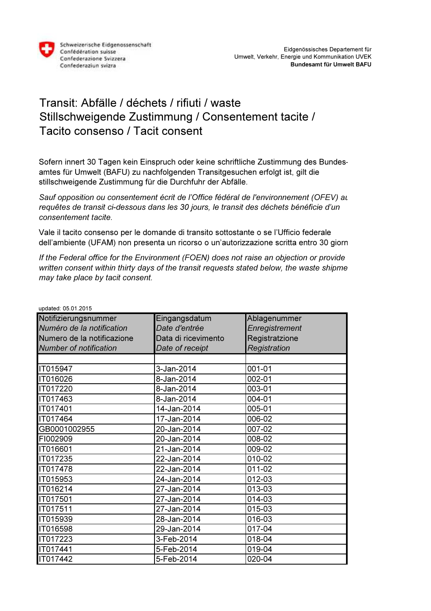

## Transit: Abfälle / déchets / rifiuti / waste Stillschweigende Zustimmung / Consentement tacite / Tacito consenso / Tacit consent

Sofern innert 30 Tagen kein Einspruch oder keine schriftliche Zustimmung des Bundesamtes für Umwelt (BAFU) zu nachfolgenden Transitgesuchen erfolgt ist, gilt die stillschweigende Zustimmung für die Durchfuhr der Abfälle.

Sauf opposition ou consentement écrit de l'Office fédéral de l'environnement (OFEV) au requêtes de transit ci-dessous dans les 30 jours, le transit des déchets bénéficie d'un consentement tacite.

Vale il tacito consenso per le domande di transito sottostante o se l'Ufficio federale dell'ambiente (UFAM) non presenta un ricorso o un'autorizzazione scritta entro 30 giorni

If the Federal office for the Environment (FOEN) does not raise an objection or provide written consent within thirty days of the transit requests stated below, the waste shipme may take place by tacit consent.

| upualeu. 00.01.2010           |                     |                |  |
|-------------------------------|---------------------|----------------|--|
| Notifizierungsnummer          | Eingangsdatum       | Ablagenummer   |  |
| Numéro de la notification     | Date d'entrée       | Enregistrement |  |
| Numero de la notificazione    | Data di ricevimento | Registratzione |  |
| <b>Number of notification</b> | Date of receipt     | Registration   |  |
|                               |                     |                |  |
| IT015947                      | 3-Jan-2014          | 001-01         |  |
| IT016026                      | 8-Jan-2014          | 002-01         |  |
| IT017220                      | 8-Jan-2014          | 003-01         |  |
| IT017463                      | 8-Jan-2014          | 004-01         |  |
| IT017401                      | 14-Jan-2014         | 005-01         |  |
| IT017464                      | 17-Jan-2014         | 006-02         |  |
| GB0001002955                  | 20-Jan-2014         | 007-02         |  |
| FI002909                      | 20-Jan-2014         | 008-02         |  |
| IT016601                      | 21-Jan-2014         | 009-02         |  |
| IT017235                      | 22-Jan-2014         | 010-02         |  |
| IT017478                      | 22-Jan-2014         | 011-02         |  |
| IT015953                      | $24$ -Jan-2014      | 012-03         |  |
| IT016214                      | 27-Jan-2014         | 013-03         |  |
| IT017501                      | 27-Jan-2014         | 014-03         |  |
| IT017511                      | 27-Jan-2014         | 015-03         |  |
| IT015939                      | 28-Jan-2014         | 016-03         |  |
| IT016598                      | 29-Jan-2014         | 017-04         |  |
| IT017223                      | 3-Feb-2014          | 018-04         |  |
| IT017441                      | 5-Feb-2014          | 019-04         |  |
| IT017442                      | 5-Feb-2014          | 020-04         |  |

updated: 05.01.2015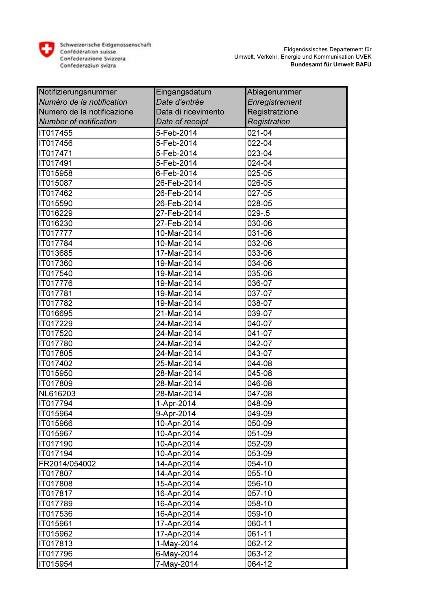

| Notifizierungsnummer          | Eingangsdatum       | Ablagenummer   |
|-------------------------------|---------------------|----------------|
| Numéro de la notification     | Date d'entrée       | Enregistrement |
| Numero de la notificazione    | Data di ricevimento | Registratzione |
| <b>Number of notification</b> | Date of receipt     | Registration   |
| IT017455                      | 5-Feb-2014          | 021-04         |
| IT017456                      | 5-Feb-2014          | 022-04         |
| IT017471                      | 5-Feb-2014          | 023-04         |
| IT017491                      | 5-Feb-2014          | 024-04         |
| IT015958                      | 6-Feb-2014          | 025-05         |
| IT015087                      | 26-Feb-2014         | 026-05         |
| IT017462                      | 26-Feb-2014         | 027-05         |
| IT015590                      | 26-Feb-2014         | 028-05         |
| IT016229                      | 27-Feb-2014         | $029 - 5$      |
| IT016230                      | 27-Feb-2014         | 030-06         |
| IT017777                      | 10-Mar-2014         | 031-06         |
| IT017784                      | 10-Mar-2014         | 032-06         |
| IT013685                      | 17-Mar-2014         | 033-06         |
| IT017360                      | 19-Mar-2014         | 034-06         |
| IT017540                      | 19-Mar-2014         | 035-06         |
| IT017776                      | 19-Mar-2014         | 036-07         |
| IT017781                      | 19-Mar-2014         | 037-07         |
| IT017782                      | 19-Mar-2014         | 038-07         |
| IT016695                      | 21-Mar-2014         | 039-07         |
| IT017229                      | 24-Mar-2014         | 040-07         |
| IT017520                      | 24-Mar-2014         | 041-07         |
| IT017780                      | 24-Mar-2014         | 042-07         |
| IT017805                      | 24-Mar-2014         | 043-07         |
| IT017402                      | 25-Mar-2014         | 044-08         |
| IT015950                      | 28-Mar-2014         | 045-08         |
| IT017809                      | 28-Mar-2014         | 046-08         |
| NL616203                      | 28-Mar-2014         | 047-08         |
| IT017794                      | 1-Apr-2014          | 048-09         |
| IT015964                      | 9-Apr-2014          | 049-09         |
| IT015966                      | 10-Apr-2014         | 050-09         |
| IT015967                      | 10-Apr-2014         | 051-09         |
| <b>IT017190</b>               | 10-Apr-2014         | 052-09         |
| <b>IT017194</b>               | 10-Apr-2014         | 053-09         |
| FR2014/054002                 | 14-Apr-2014         | 054-10         |
| IT017807                      | 14-Apr-2014         | 055-10         |
| IT017808                      | 15-Apr-2014         | 056-10         |
| <b>IT017817</b>               | 16-Apr-2014         | 057-10         |
| <b>IT017789</b>               | 16-Apr-2014         | 058-10         |
| IT017536                      | 16-Apr-2014         | 059-10         |
| IT015961                      | 17-Apr-2014         | 060-11         |
| IT015962                      | 17-Apr-2014         | 061-11         |
| IT017813                      | 1-May-2014          | 062-12         |
| <b>IT017796</b>               | 6-May-2014          | 063-12         |
| IT015954                      | 7-May-2014          | 064-12         |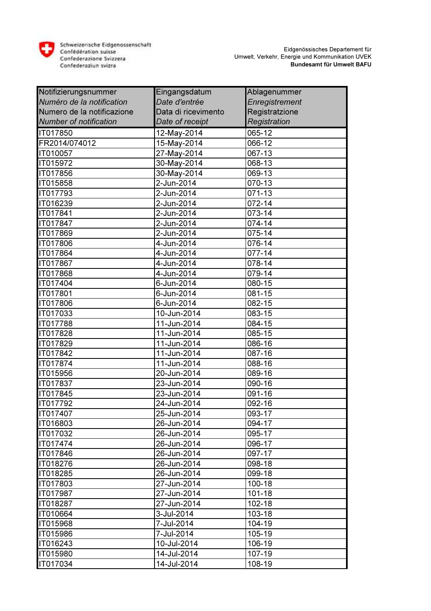

| Notifizierungsnummer          | Eingangsdatum       | Ablagenummer   |
|-------------------------------|---------------------|----------------|
| Numéro de la notification     | Date d'entrée       | Enregistrement |
| Numero de la notificazione    | Data di ricevimento | Registratzione |
| <b>Number of notification</b> | Date of receipt     | Registration   |
| IT017850                      | 12-May-2014         | 065-12         |
| FR2014/074012                 | 15-May-2014         | 066-12         |
| IT010057                      | 27-May-2014         | 067-13         |
| IT015972                      | 30-May-2014         | 068-13         |
| IT017856                      | 30-May-2014         | 069-13         |
| IT015858                      | 2-Jun-2014          | 070-13         |
| IT017793                      | 2-Jun-2014          | 071-13         |
| IT016239                      | 2-Jun-2014          | 072-14         |
| IT017841                      | 2-Jun-2014          | 073-14         |
| IT017847                      | 2-Jun-2014          | $074 - 14$     |
| IT017869                      | 2-Jun-2014          | 075-14         |
| IT017806                      | 4-Jun-2014          | 076-14         |
| IT017864                      | 4-Jun-2014          | 077-14         |
| IT017867                      | 4-Jun-2014          | 078-14         |
| IT017868                      | 4-Jun-2014          | 079-14         |
| IT017404                      | 6-Jun-2014          | 080-15         |
| IT017801                      | 6-Jun-2014          | 081-15         |
| IT017806                      | 6-Jun-2014          | 082-15         |
| IT017033                      | 10-Jun-2014         | 083-15         |
| IT017788                      | 11-Jun-2014         | 084-15         |
| IT017828                      | 11-Jun-2014         | 085-15         |
| IT017829                      | 11-Jun-2014         | 086-16         |
| IT017842                      | 11-Jun-2014         | 087-16         |
| IT017874                      | 11-Jun-2014         | 088-16         |
| IT015956                      | 20-Jun-2014         | 089-16         |
| IT017837                      | 23-Jun-2014         | 090-16         |
| IT017845                      | 23-Jun-2014         | 091-16         |
| IT017792                      | 24-Jun-2014         | 092-16         |
| IT017407                      | 25-Jun-2014         | 093-17         |
| IT016803                      | 26-Jun-2014         | 094-17         |
| IT017032                      | 26-Jun-2014         | 095-17         |
| <b>IT017474</b>               | 26-Jun-2014         | 096-17         |
| IT017846                      | 26-Jun-2014         | 097-17         |
| IT018276                      | 26-Jun-2014         | 098-18         |
| IT018285                      | 26-Jun-2014         | 099-18         |
| IT017803                      | 27-Jun-2014         | 100-18         |
| <b>IT017987</b>               | 27-Jun-2014         | 101-18         |
| IT018287                      | 27-Jun-2014         | 102-18         |
| IT010664                      | 3-Jul-2014          | 103-18         |
| IT015968                      | 7-Jul-2014          | 104-19         |
| IT015986                      | 7-Jul-2014          | 105-19         |
| IT016243                      | 10-Jul-2014         | 106-19         |
| IT015980                      | 14-Jul-2014         | 107-19         |
| IT017034                      | 14-Jul-2014         | 108-19         |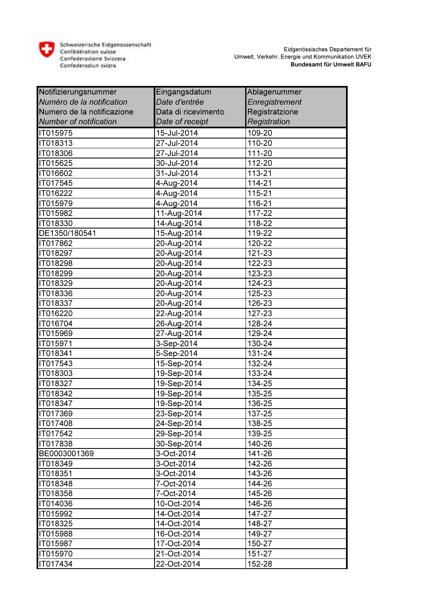

| Notifizierungsnummer          | Eingangsdatum       | Ablagenummer   |
|-------------------------------|---------------------|----------------|
| Numéro de la notification     | Date d'entrée       | Enregistrement |
| Numero de la notificazione    | Data di ricevimento | Registratzione |
| <b>Number of notification</b> | Date of receipt     | Registration   |
| IT015975                      | 15-Jul-2014         | 109-20         |
| IT018313                      | 27-Jul-2014         | 110-20         |
| IT018306                      | 27-Jul-2014         | 111-20         |
| IT015625                      | 30-Jul-2014         | 112-20         |
| IT016602                      | 31-Jul-2014         | 113-21         |
| IT017545                      | 4-Aug-2014          | 114-21         |
| IT016222                      | 4-Aug-2014          | 115-21         |
| IT015979                      | 4-Aug-2014          | 116-21         |
| IT015982                      | 11-Aug-2014         | 117-22         |
| IT018330                      | 14-Aug-2014         | 118-22         |
| DE1350/180541                 | 15-Aug-2014         | 119-22         |
| IT017862                      | 20-Aug-2014         | 120-22         |
| IT018297                      | 20-Aug-2014         | 121-23         |
| IT018298                      | 20-Aug-2014         | 122-23         |
| IT018299                      | 20-Aug-2014         | 123-23         |
| IT018329                      | 20-Aug-2014         | 124-23         |
| IT018336                      | 20-Aug-2014         | 125-23         |
| IT018337                      | 20-Aug-2014         | 126-23         |
| IT016220                      | 22-Aug-2014         | 127-23         |
| IT016704                      | 26-Aug-2014         | 128-24         |
| IT015969                      | 27-Aug-2014         | 129-24         |
| IT015971                      | 3-Sep-2014          | 130-24         |
| IT018341                      | 5-Sep-2014          | 131-24         |
| IT017543                      | 15-Sep-2014         | 132-24         |
| IT018303                      | 19-Sep-2014         | 133-24         |
| IT018327                      | 19-Sep-2014         | 134-25         |
| IT018342                      | 19-Sep-2014         | 135-25         |
| IT018347                      | 19-Sep-2014         | 136-25         |
| IT017369                      | 23-Sep-2014         | 137-25         |
| IT017408                      | 24-Sep-2014         | 138-25         |
| IT017542                      | 29-Sep-2014         | 139-25         |
| IT017838                      | 30-Sep-2014         | 140-26         |
| BE0003001369                  | 3-Oct-2014          | 141-26         |
| IT018349                      | 3-Oct-2014          | 142-26         |
| IT018351                      | 3-Oct-2014          | 143-26         |
| IT018348                      | 7-Oct-2014          | 144-26         |
| IT018358                      | 7-Oct-2014          | 145-26         |
| <b>IT014036</b>               | 10-Oct-2014         | 146-26         |
| IT015992                      | 14-Oct-2014         | 147-27         |
| IT018325                      | 14-Oct-2014         | 148-27         |
| IT015988                      | 16-Oct-2014         | 149-27         |
| IT015987                      | 17-Oct-2014         | 150-27         |
| IT015970                      | 21-Oct-2014         | 151-27         |
| IT017434                      | 22-Oct-2014         | 152-28         |